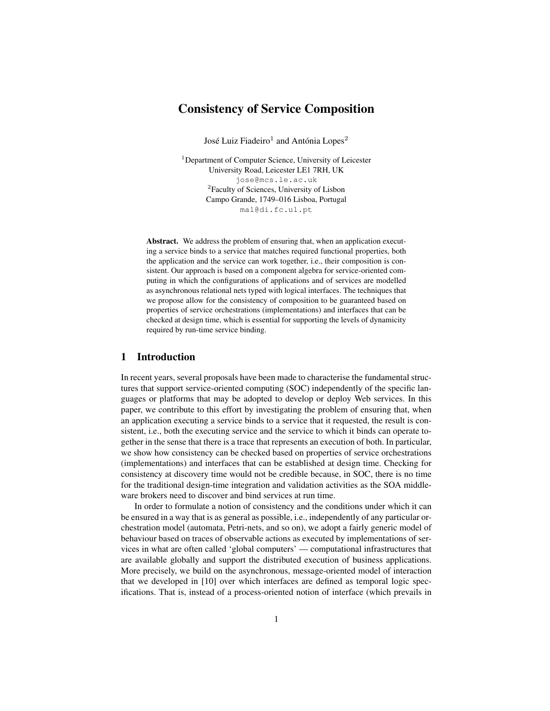# Consistency of Service Composition

José Luiz Fiadeiro<sup>1</sup> and Antónia Lopes<sup>2</sup>

<sup>1</sup>Department of Computer Science, University of Leicester University Road, Leicester LE1 7RH, UK jose@mcs.le.ac.uk <sup>2</sup> Faculty of Sciences, University of Lisbon Campo Grande, 1749–016 Lisboa, Portugal mal@di.fc.ul.pt

Abstract. We address the problem of ensuring that, when an application executing a service binds to a service that matches required functional properties, both the application and the service can work together, i.e., their composition is consistent. Our approach is based on a component algebra for service-oriented computing in which the configurations of applications and of services are modelled as asynchronous relational nets typed with logical interfaces. The techniques that we propose allow for the consistency of composition to be guaranteed based on properties of service orchestrations (implementations) and interfaces that can be checked at design time, which is essential for supporting the levels of dynamicity required by run-time service binding.

# 1 Introduction

In recent years, several proposals have been made to characterise the fundamental structures that support service-oriented computing (SOC) independently of the specific languages or platforms that may be adopted to develop or deploy Web services. In this paper, we contribute to this effort by investigating the problem of ensuring that, when an application executing a service binds to a service that it requested, the result is consistent, i.e., both the executing service and the service to which it binds can operate together in the sense that there is a trace that represents an execution of both. In particular, we show how consistency can be checked based on properties of service orchestrations (implementations) and interfaces that can be established at design time. Checking for consistency at discovery time would not be credible because, in SOC, there is no time for the traditional design-time integration and validation activities as the SOA middleware brokers need to discover and bind services at run time.

In order to formulate a notion of consistency and the conditions under which it can be ensured in a way that is as general as possible, i.e., independently of any particular orchestration model (automata, Petri-nets, and so on), we adopt a fairly generic model of behaviour based on traces of observable actions as executed by implementations of services in what are often called 'global computers' — computational infrastructures that are available globally and support the distributed execution of business applications. More precisely, we build on the asynchronous, message-oriented model of interaction that we developed in [10] over which interfaces are defined as temporal logic specifications. That is, instead of a process-oriented notion of interface (which prevails in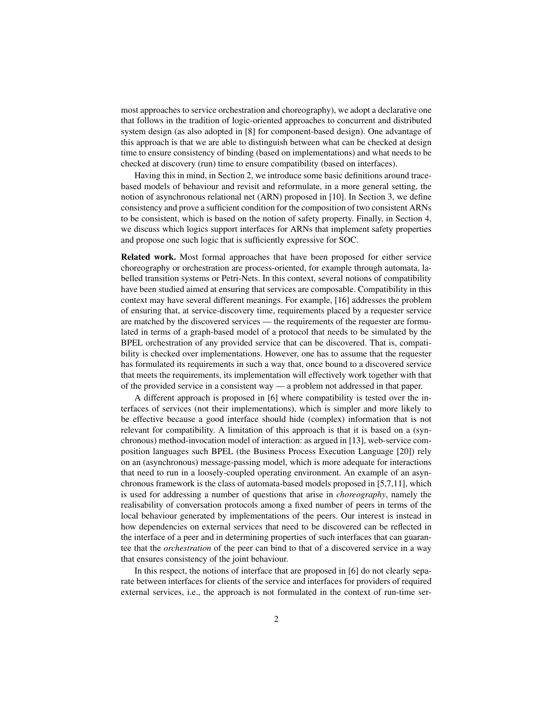most approaches to service orchestration and choreography), we adopt a declarative one that follows in the tradition of logic-oriented approaches to concurrent and distributed system design (as also adopted in [8] for component-based design). One advantage of this approach is that we are able to distinguish between what can be checked at design time to ensure consistency of binding (based on implementations) and what needs to be checked at discovery (run) time to ensure compatibility (based on interfaces).

Having this in mind, in Section 2, we introduce some basic definitions around tracebased models of behaviour and revisit and reformulate, in a more general setting, the notion of asynchronous relational net (ARN) proposed in [10]. In Section 3, we define consistency and prove a sufficient condition for the composition of two consistent ARNs to be consistent, which is based on the notion of safety property. Finally, in Section 4, we discuss which logics support interfaces for ARNs that implement safety properties and propose one such logic that is sufficiently expressive for SOC.

Related work. Most formal approaches that have been proposed for either service choreography or orchestration are process-oriented, for example through automata, labelled transition systems or Petri-Nets. In this context, several notions of compatibility have been studied aimed at ensuring that services are composable. Compatibility in this context may have several different meanings. For example, [16] addresses the problem of ensuring that, at service-discovery time, requirements placed by a requester service are matched by the discovered services — the requirements of the requester are formulated in terms of a graph-based model of a protocol that needs to be simulated by the BPEL orchestration of any provided service that can be discovered. That is, compatibility is checked over implementations. However, one has to assume that the requester has formulated its requirements in such a way that, once bound to a discovered service that meets the requirements, its implementation will effectively work together with that of the provided service in a consistent way — a problem not addressed in that paper.

A different approach is proposed in [6] where compatibility is tested over the interfaces of services (not their implementations), which is simpler and more likely to be effective because a good interface should hide (complex) information that is not relevant for compatibility. A limitation of this approach is that it is based on a (synchronous) method-invocation model of interaction: as argued in [13], web-service composition languages such BPEL (the Business Process Execution Language [20]) rely on an (asynchronous) message-passing model, which is more adequate for interactions that need to run in a loosely-coupled operating environment. An example of an asynchronous framework is the class of automata-based models proposed in [5,7,11], which is used for addressing a number of questions that arise in *choreography*, namely the realisability of conversation protocols among a fixed number of peers in terms of the local behaviour generated by implementations of the peers. Our interest is instead in how dependencies on external services that need to be discovered can be reflected in the interface of a peer and in determining properties of such interfaces that can guarantee that the *orchestration* of the peer can bind to that of a discovered service in a way that ensures consistency of the joint behaviour.

In this respect, the notions of interface that are proposed in [6] do not clearly separate between interfaces for clients of the service and interfaces for providers of required external services, i.e., the approach is not formulated in the context of run-time ser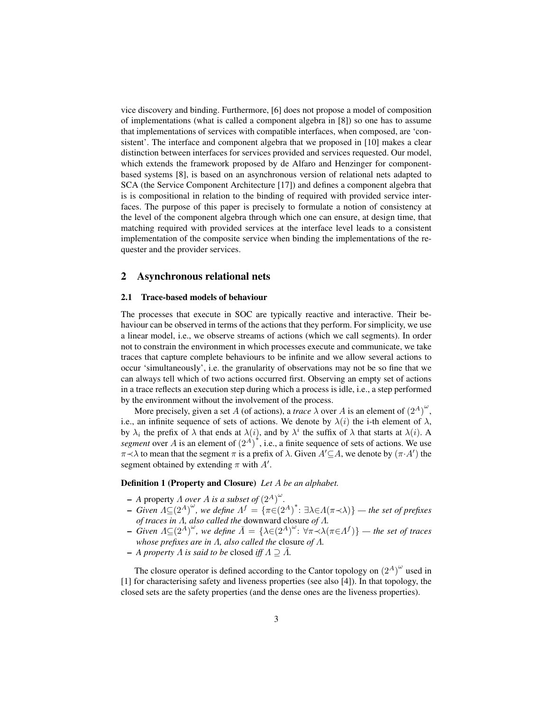vice discovery and binding. Furthermore, [6] does not propose a model of composition of implementations (what is called a component algebra in [8]) so one has to assume that implementations of services with compatible interfaces, when composed, are 'consistent'. The interface and component algebra that we proposed in [10] makes a clear distinction between interfaces for services provided and services requested. Our model, which extends the framework proposed by de Alfaro and Henzinger for componentbased systems [8], is based on an asynchronous version of relational nets adapted to SCA (the Service Component Architecture [17]) and defines a component algebra that is is compositional in relation to the binding of required with provided service interfaces. The purpose of this paper is precisely to formulate a notion of consistency at the level of the component algebra through which one can ensure, at design time, that matching required with provided services at the interface level leads to a consistent implementation of the composite service when binding the implementations of the requester and the provider services.

# 2 Asynchronous relational nets

#### 2.1 Trace-based models of behaviour

The processes that execute in SOC are typically reactive and interactive. Their behaviour can be observed in terms of the actions that they perform. For simplicity, we use a linear model, i.e., we observe streams of actions (which we call segments). In order not to constrain the environment in which processes execute and communicate, we take traces that capture complete behaviours to be infinite and we allow several actions to occur 'simultaneously', i.e. the granularity of observations may not be so fine that we can always tell which of two actions occurred first. Observing an empty set of actions in a trace reflects an execution step during which a process is idle, i.e., a step performed by the environment without the involvement of the process.

More precisely, given a set A (of actions), a *trace*  $\lambda$  over A is an element of  $(2^A)^\omega$ , i.e., an infinite sequence of sets of actions. We denote by  $\lambda(i)$  the i-th element of  $\lambda$ , by  $\lambda_i$  the prefix of  $\lambda$  that ends at  $\lambda(i)$ , and by  $\lambda^i$  the suffix of  $\lambda$  that starts at  $\lambda(i)$ . A *segment* over A is an element of  $(2^{A})^*$ , i.e., a finite sequence of sets of actions. We use  $\pi \prec \lambda$  to mean that the segment  $\pi$  is a prefix of  $\lambda$ . Given  $A' \subseteq A$ , we denote by  $(\pi \cdot A')$  the segment obtained by extending  $\pi$  with  $A'$ .

#### Definition 1 (Property and Closure) *Let* A *be an alphabet.*

- $-$  *A* property *A over A is a subset of*  $(2^A)^\omega$ .
- $\overline{A}$  *Given*  $\Lambda \subseteq (2^A)^\omega$ , we define  $\Lambda^f = \{π\in (2^A)^* : \exists λ\in \Lambda(π\prec λ)\}$  the set of prefixes *of traces in* Λ*, also called the* downward closure *of* Λ*.*
- $\vec{A}$  Given  $\Lambda \subseteq (2^{\overline{A}})^{\omega}$ , we define  $\overline{\Lambda} = {\lambda \in (2^{\overline{A}})^{\omega} : \forall \pi \prec \lambda} (\pi \in \Lambda^f) }$  the set of traces *whose prefixes are in* Λ*, also called the* closure *of* Λ*.*
- $-$  *A property*  $\Lambda$  *is said to be closed iff*  $\Lambda \supseteq \overline{\Lambda}$ *.*

The closure operator is defined according to the Cantor topology on  $(2^A)^\omega$  used in [1] for characterising safety and liveness properties (see also [4]). In that topology, the closed sets are the safety properties (and the dense ones are the liveness properties).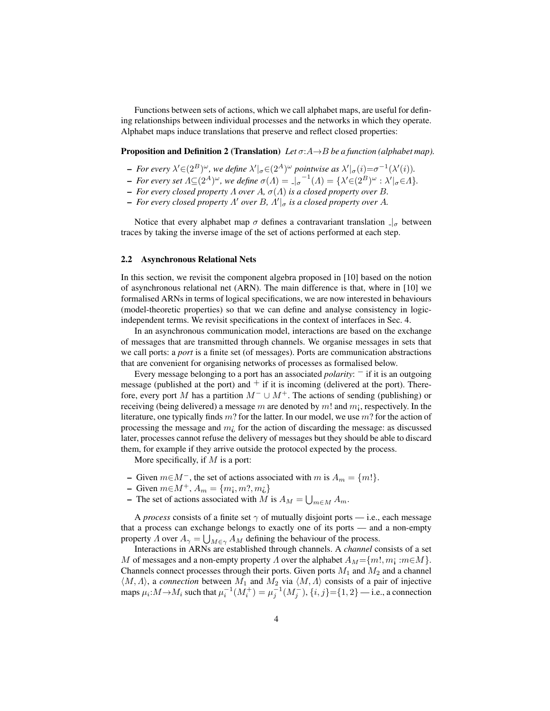Functions between sets of actions, which we call alphabet maps, are useful for defining relationships between individual processes and the networks in which they operate. Alphabet maps induce translations that preserve and reflect closed properties:

Proposition and Definition 2 (Translation) *Let* σ:A→B *be a function (alphabet map).*

- *For every*  $\lambda' \in (2^B)^\omega$ , we define  $\lambda' \mid_{\sigma} \in (2^A)^\omega$  pointwise as  $\lambda' \mid_{\sigma} (i) = \sigma^{-1}(\lambda'(i))$ .
- *For every set*  $\Lambda \subseteq (2^A)^\omega$ , we define  $\sigma(\Lambda) = \frac{1}{\sigma} \sigma^{-1}(\Lambda) = \frac{\lambda' \in (2^B)^\omega : \lambda' |_{\sigma} \in \Lambda\}.$
- $-$  *For every closed property*  $\Lambda$  *over*  $A$ *,*  $\sigma(\Lambda)$  *is a closed property over*  $B$ *.*
- $\blacktriangleright$  *For every closed property*  $\Lambda'$  *over B,*  $\Lambda' |_{\sigma}$  *is a closed property over A.*

Notice that every alphabet map  $\sigma$  defines a contravariant translation  $\sigma$  between traces by taking the inverse image of the set of actions performed at each step.

#### 2.2 Asynchronous Relational Nets

In this section, we revisit the component algebra proposed in [10] based on the notion of asynchronous relational net (ARN). The main difference is that, where in [10] we formalised ARNs in terms of logical specifications, we are now interested in behaviours (model-theoretic properties) so that we can define and analyse consistency in logicindependent terms. We revisit specifications in the context of interfaces in Sec. 4.

In an asynchronous communication model, interactions are based on the exchange of messages that are transmitted through channels. We organise messages in sets that we call ports: a *port* is a finite set (of messages). Ports are communication abstractions that are convenient for organising networks of processes as formalised below.

Every message belonging to a port has an associated *polarity*: − if it is an outgoing message (published at the port) and  $+$  if it is incoming (delivered at the port). Therefore, every port M has a partition  $M^- \cup M^+$ . The actions of sending (publishing) or receiving (being delivered) a message m are denoted by m! and  $m_i$ ; respectively. In the literature, one typically finds  $m$ ? for the latter. In our model, we use  $m$ ? for the action of processing the message and  $m_i$  for the action of discarding the message: as discussed later, processes cannot refuse the delivery of messages but they should be able to discard them, for example if they arrive outside the protocol expected by the process.

More specifically, if  $M$  is a port:

- Given  $m∈M^-$ , the set of actions associated with m is  $A_m = \{m!\}.$
- Given  $m \in M^+$ ,  $A_m = \{m_i, m_i, m_k\}$
- The set of actions associated with M is  $A_M = \bigcup_{m \in M} A_m$ .

A *process* consists of a finite set  $\gamma$  of mutually disjoint ports — i.e., each message that a process can exchange belongs to exactly one of its ports — and a non-empty property  $\Lambda$  over  $A_{\gamma} = \bigcup_{M \in \gamma} A_M$  defining the behaviour of the process.

Interactions in ARNs are established through channels. A *channel* consists of a set M of messages and a non-empty property  $\Lambda$  over the alphabet  $A_M = \{m!, m; : m \in M\}$ . Channels connect processes through their ports. Given ports  $M_1$  and  $M_2$  and a channel  $\langle M, \Lambda \rangle$ , a *connection* between  $M_1$  and  $M_2$  via  $\langle M, \Lambda \rangle$  consists of a pair of injective maps  $\mu_i: M \to M_i$  such that  $\mu_i^{-1}(M_i^+) = \mu_j^{-1}(M_j^-)$ ,  $\{i, j\} = \{1, 2\}$  — i.e., a connection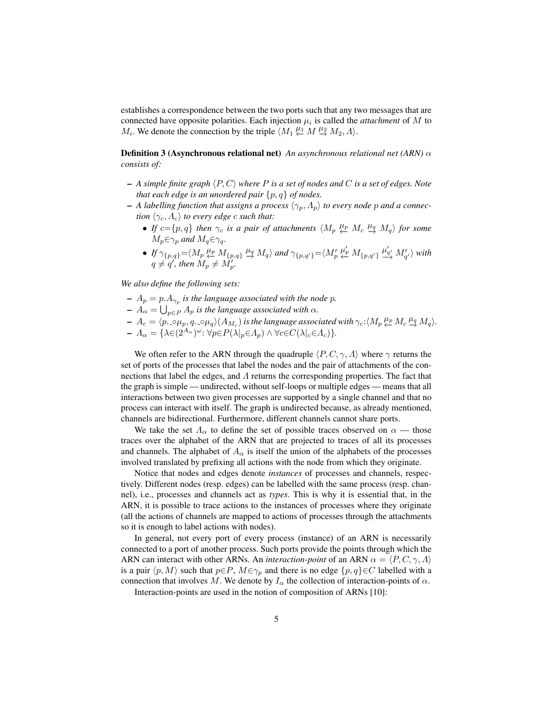establishes a correspondence between the two ports such that any two messages that are connected have opposite polarities. Each injection  $\mu_i$  is called the *attachment* of M to  $M_i$ . We denote the connection by the triple  $\langle M_1 \stackrel{\mu_1}{\longleftrightarrow} M \stackrel{\mu_2}{\longrightarrow} M_2, \Lambda \rangle$ .

Definition 3 (Asynchronous relational net) *An asynchronous relational net (ARN)* α *consists of:*

- $-$  *A simple finite graph*  $\langle P, C \rangle$  *where P is a set of nodes and C is a set of edges. Note that each edge is an unordered pair*  $\{p, q\}$  *of nodes.*
- $-$  *A labelling function that assigns a process*  $\langle \gamma_p, \Lambda_p \rangle$  *to every node p and a connection*  $\langle \gamma_c, \Lambda_c \rangle$  *to every edge c such that:* 
	- If  $c = \{p, q\}$  then  $\gamma_c$  is a pair of attachments  $\langle M_p \stackrel{\mu_p}{\longleftrightarrow} M_c \stackrel{\mu_q}{\longrightarrow} M_q \rangle$  for some  $M_p \in \gamma_p$  *and*  $M_q \in \gamma_q$ *.*
	- If  $\gamma_{\{p,q\}} = \langle M_p \stackrel{\mu_p}{\leftarrow} M_{\{p,q\}} \stackrel{\mu_q}{\rightarrow} M_q \rangle$  and  $\gamma_{\{p,q'\}} = \langle M'_p \stackrel{\mu'_p}{\leftarrow} M_{\{p,q'\}} \stackrel{\mu'_{q'}}{\rightarrow} M'_{q'} \rangle$  with  $q \neq q'$ , then  $M_p \neq M'_{p'}$ .

*We also define the following sets:*

- $A_p = p.A_{\gamma_p}$  is the language associated with the node p.
- $A_{\alpha} = \bigcup_{p \in P} A_p$  is the language associated with  $\alpha$ .
- $A_c = \langle p_- \circ \mu_p, q_- \circ \mu_q \rangle (A_{M_c})$  is the language associated with  $\gamma_c$ : $\langle M_p \not\stackrel{\mu_p}{\leftarrow} M_c \not\stackrel{\mu_q}{\rightarrow} M_q \rangle$ .
- $\mathcal{A}_{\alpha} = {\lambda \in (2^{A_{\alpha}})^{\omega} : \forall p \in P(\lambda|_{p} \in \Lambda_{p}) \land \forall c \in C(\lambda|_{c} \in \Lambda_{c})}.$

We often refer to the ARN through the quadruple  $\langle P, C, \gamma, \Lambda \rangle$  where  $\gamma$  returns the set of ports of the processes that label the nodes and the pair of attachments of the connections that label the edges, and  $\Lambda$  returns the corresponding properties. The fact that the graph is simple — undirected, without self-loops or multiple edges — means that all interactions between two given processes are supported by a single channel and that no process can interact with itself. The graph is undirected because, as already mentioned, channels are bidirectional. Furthermore, different channels cannot share ports.

We take the set  $\Lambda_{\alpha}$  to define the set of possible traces observed on  $\alpha$  — those traces over the alphabet of the ARN that are projected to traces of all its processes and channels. The alphabet of  $A_{\alpha}$  is itself the union of the alphabets of the processes involved translated by prefixing all actions with the node from which they originate.

Notice that nodes and edges denote *instances* of processes and channels, respectively. Different nodes (resp. edges) can be labelled with the same process (resp. channel), i.e., processes and channels act as *types*. This is why it is essential that, in the ARN, it is possible to trace actions to the instances of processes where they originate (all the actions of channels are mapped to actions of processes through the attachments so it is enough to label actions with nodes).

In general, not every port of every process (instance) of an ARN is necessarily connected to a port of another process. Such ports provide the points through which the ARN can interact with other ARNs. An *interaction-point* of an ARN  $\alpha = \langle P, C, \gamma, \Lambda \rangle$ is a pair  $\langle p, M \rangle$  such that  $p \in P$ ,  $M \in \gamma_p$  and there is no edge  $\{p, q\} \in C$  labelled with a connection that involves M. We denote by  $I_{\alpha}$  the collection of interaction-points of  $\alpha$ .

Interaction-points are used in the notion of composition of ARNs [10]: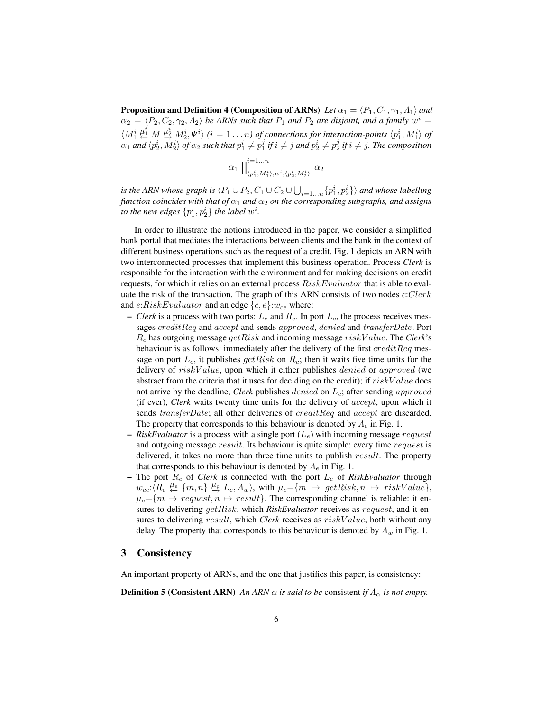**Proposition and Definition 4 (Composition of ARNs)** Let  $\alpha_1 = \langle P_1, C_1, \gamma_1, \Lambda_1 \rangle$  and  $\alpha_2 = \langle P_2, C_2, \gamma_2, \Lambda_2 \rangle$  *be ARNs such that*  $P_1$  *and*  $P_2$  *are disjoint, and a family*  $w^i =$  $\langle M_1^i \stackrel{\mu^i_1}{\leftarrow} M \stackrel{\mu^i_2}{\rightarrow} M_2^i, \Psi^i \rangle$   $(i = 1 ... n)$  of connections for interaction-points  $\langle p_1^i, M_1^i \rangle$  of  $\alpha_1$  and  $\langle p_2^i, M_2^i \rangle$  of  $\alpha_2$  such that  $p_1^i \neq p_1^j$  if  $i \neq j$  and  $p_2^i \neq p_2^j$  if  $i \neq j$ . The composition

$$
\alpha_1 \mid \mid_{\langle p_1^i, M_1^i \rangle, w^i, \langle p_2^i, M_2^i \rangle}^{i=1...n} \alpha_2
$$

is the ARN whose graph is  $\langle P_1\cup P_2,C_1\cup C_2\cup\bigcup_{i=1...n}\{p_1^i,p_2^i\}\rangle$  and whose labelling *function coincides with that of*  $\alpha_1$  *and*  $\alpha_2$  *on the corresponding subgraphs, and assigns* to the new edges  $\{p_1^i, p_2^i\}$  the label  $w^i$ .

In order to illustrate the notions introduced in the paper, we consider a simplified bank portal that mediates the interactions between clients and the bank in the context of different business operations such as the request of a credit. Fig. 1 depicts an ARN with two interconnected processes that implement this business operation. Process *Clerk* is responsible for the interaction with the environment and for making decisions on credit requests, for which it relies on an external process  $RiskEvalaator$  that is able to evaluate the risk of the transaction. The graph of this ARN consists of two nodes  $c$ :Clerk and  $e:RiskEvaluator$  and an edge  $\{c, e\}:w_{ce}$  where:

- *Clerk* is a process with two ports:  $L_c$  and  $R_c$ . In port  $L_c$ , the process receives messages creditReq and accept and sends approved, denied and transferDate. Port  $R_c$  has outgoing message *getRisk* and incoming message *riskV alue*. The *Clerk's* behaviour is as follows: immediately after the delivery of the first  $creditReg$  message on port  $L_c$ , it publishes  $getRisk$  on  $R_c$ ; then it waits five time units for the delivery of  $riskValue$ , upon which it either publishes *denied* or *approved* (we abstract from the criteria that it uses for deciding on the credit); if  $riskValue$  does not arrive by the deadline, *Clerk* publishes *denied* on  $L_c$ ; after sending *approved* (if ever), *Clerk* waits twenty time units for the delivery of accept, upon which it sends transferDate; all other deliveries of creditReq and accept are discarded. The property that corresponds to this behaviour is denoted by  $\Lambda_c$  in Fig. 1.
- *RiskEvaluator* is a process with a single port  $(L_e)$  with incoming message request and outgoing message result. Its behaviour is quite simple: every time request is delivered, it takes no more than three time units to publish *result*. The property that corresponds to this behaviour is denoted by  $\Lambda_e$  in Fig. 1.
- The port  $R_c$  of *Clerk* is connected with the port  $L_e$  of *RiskEvaluator* through  $w_{ce}:\stackrel{L}{\left\langle R_c\right\rangle}\stackrel{\mu_e}{\leftarrow}\{m,n\}\stackrel{\mu_c}{\rightarrow}L_e,\Lambda_w\rangle,$  with  $\mu_c=\stackrel{\frown}{\{m\rightarrow\;getRisk,n\;\mapsto\;riskValue\}},$  $\mu_e=\{m \mapsto request, n \mapsto result\}$ . The corresponding channel is reliable: it ensures to delivering getRisk, which *RiskEvaluator* receives as request, and it ensures to delivering *result*, which *Clerk* receives as  $riskValue$ , both without any delay. The property that corresponds to this behaviour is denoted by  $\Lambda_w$  in Fig. 1.

# 3 Consistency

An important property of ARNs, and the one that justifies this paper, is consistency:

**Definition 5 (Consistent ARN)** *An ARN*  $\alpha$  *is said to be* consistent *if*  $\Lambda_{\alpha}$  *is not empty.*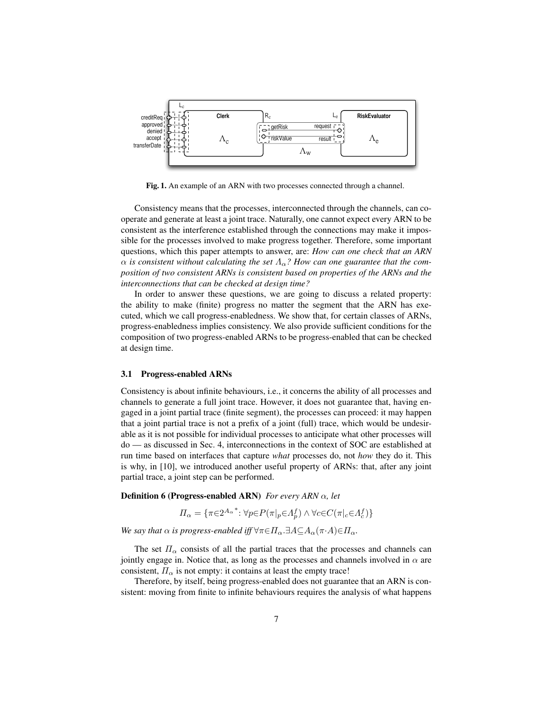

Fig. 1. An example of an ARN with two processes connected through a channel.

Consistency means that the processes, interconnected through the channels, can cooperate and generate at least a joint trace. Naturally, one cannot expect every ARN to be consistent as the interference established through the connections may make it impossible for the processes involved to make progress together. Therefore, some important questions, which this paper attempts to answer, are: *How can one check that an ARN*  $\alpha$  is consistent without calculating the set  $\Lambda_{\alpha}$ ? How can one guarantee that the com*position of two consistent ARNs is consistent based on properties of the ARNs and the interconnections that can be checked at design time?*

In order to answer these questions, we are going to discuss a related property: the ability to make (finite) progress no matter the segment that the ARN has executed, which we call progress-enabledness. We show that, for certain classes of ARNs, progress-enabledness implies consistency. We also provide sufficient conditions for the composition of two progress-enabled ARNs to be progress-enabled that can be checked at design time.

#### 3.1 Progress-enabled ARNs

Consistency is about infinite behaviours, i.e., it concerns the ability of all processes and channels to generate a full joint trace. However, it does not guarantee that, having engaged in a joint partial trace (finite segment), the processes can proceed: it may happen that a joint partial trace is not a prefix of a joint (full) trace, which would be undesirable as it is not possible for individual processes to anticipate what other processes will do — as discussed in Sec. 4, interconnections in the context of SOC are established at run time based on interfaces that capture *what* processes do, not *how* they do it. This is why, in [10], we introduced another useful property of ARNs: that, after any joint partial trace, a joint step can be performed.

Definition 6 (Progress-enabled ARN) *For every ARN* α*, let*

$$
\varPi_{\alpha}=\{\pi{\in}2^{A_{\alpha}}^*:\forall p{\in}P(\pi|_p{\in}\varLambda^f_p)\wedge\forall c{\in}C(\pi|_c{\in}\varLambda^f_c)\}
$$

*We say that*  $\alpha$  *is progress-enabled iff*  $\forall \pi \in \Pi_{\alpha}$ .  $\exists A \subseteq A_{\alpha}(\pi \cdot A) \in \Pi_{\alpha}$ .

The set  $\Pi_{\alpha}$  consists of all the partial traces that the processes and channels can jointly engage in. Notice that, as long as the processes and channels involved in  $\alpha$  are consistent,  $\Pi_{\alpha}$  is not empty: it contains at least the empty trace!

Therefore, by itself, being progress-enabled does not guarantee that an ARN is consistent: moving from finite to infinite behaviours requires the analysis of what happens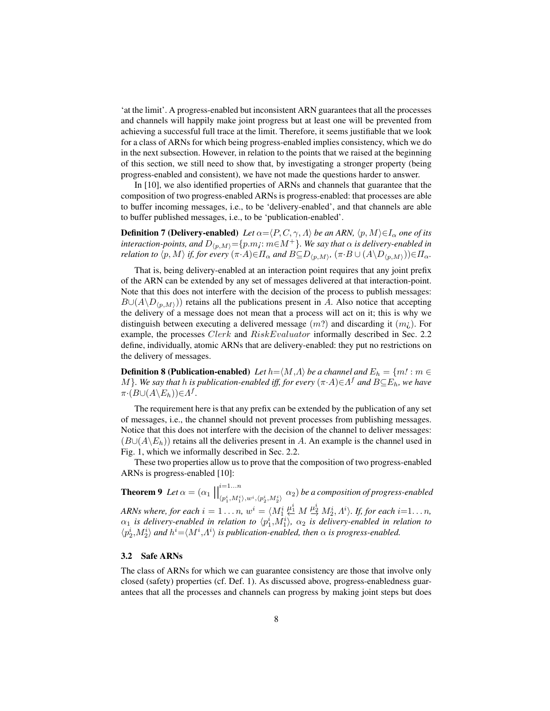'at the limit'. A progress-enabled but inconsistent ARN guarantees that all the processes and channels will happily make joint progress but at least one will be prevented from achieving a successful full trace at the limit. Therefore, it seems justifiable that we look for a class of ARNs for which being progress-enabled implies consistency, which we do in the next subsection. However, in relation to the points that we raised at the beginning of this section, we still need to show that, by investigating a stronger property (being progress-enabled and consistent), we have not made the questions harder to answer.

In [10], we also identified properties of ARNs and channels that guarantee that the composition of two progress-enabled ARNs is progress-enabled: that processes are able to buffer incoming messages, i.e., to be 'delivery-enabled', and that channels are able to buffer published messages, i.e., to be 'publication-enabled'.

**Definition 7 (Delivery-enabled)** Let  $\alpha = \langle P, C, \gamma, \Lambda \rangle$  be an ARN,  $\langle p, M \rangle \in I_\alpha$  one of its  $\hat{a}$  *interaction-points, and*  $D_{\langle p,M \rangle}$  $=$  { $p.m$ *;:*  $m$  $\in$   $M^+$  }. We say that  $\alpha$  is delivery-enabled in *relation to*  $\langle p, M \rangle$  *if, for every*  $(\pi \cdot A) \in \Pi_\alpha$  *and*  $B \subseteq D_{\langle p,M \rangle}$ ,  $(\pi \cdot B \cup (A \setminus D_{\langle p,M \rangle})) \in \Pi_\alpha$ .

That is, being delivery-enabled at an interaction point requires that any joint prefix of the ARN can be extended by any set of messages delivered at that interaction-point. Note that this does not interfere with the decision of the process to publish messages:  $B\cup (A\setminus D_{\langle p,M\rangle})$  retains all the publications present in A. Also notice that accepting the delivery of a message does not mean that a process will act on it; this is why we distinguish between executing a delivered message  $(m)$  and discarding it  $(m_i)$ . For example, the processes *Clerk* and *RiskEvaluator* informally described in Sec. 2.2 define, individually, atomic ARNs that are delivery-enabled: they put no restrictions on the delivery of messages.

**Definition 8 (Publication-enabled)** *Let*  $h = \langle M, \Lambda \rangle$  *be a channel and*  $E_h = \{m! : m \in \mathbb{R}\}$ M}*. We say that* h *is publication-enabled iff, for every* (π·A)∈Λ <sup>f</sup> *and* B⊆Eh*, we have*  $\pi \cdot (B \cup (A \backslash E_h)) \in \Lambda^f$ .

The requirement here is that any prefix can be extended by the publication of any set of messages, i.e., the channel should not prevent processes from publishing messages. Notice that this does not interfere with the decision of the channel to deliver messages:  $(B\cup(A\setminus E_h))$  retains all the deliveries present in A. An example is the channel used in Fig. 1, which we informally described in Sec. 2.2.

These two properties allow us to prove that the composition of two progress-enabled ARNs is progress-enabled [10]:

**Theorem 9** Let  $\alpha = (\alpha_1 \bigcup_{\langle p_1^i, M_1^i \rangle, w^i, \langle p_2^i, M_2^i \rangle}^{i=1...n} \alpha_2)$  be a composition of progress-enabled *ARNs where, for each*  $i=1\ldots n$ *,*  $w^i = \langle M_1^i \frac{\mu_1^i}{\leftarrow} M \frac{\mu_2^i}{\rightarrow} M_2^i, \Lambda^i \rangle$ *. If, for each*  $i{=}1\ldots n$ *,*  $i \in \mathbb{N}^i$  $\alpha_1$  is delivery-enabled in relation to  $\langle p_1^i, M_1^i \rangle$ ,  $\alpha_2$  is delivery-enabled in relation to  $\langle p_2^i, M_2^i \rangle$  and  $h^i = \langle M^i, \Lambda^i \rangle$  is publication-enabled, then  $\alpha$  is progress-enabled.

#### 3.2 Safe ARNs

The class of ARNs for which we can guarantee consistency are those that involve only closed (safety) properties (cf. Def. 1). As discussed above, progress-enabledness guarantees that all the processes and channels can progress by making joint steps but does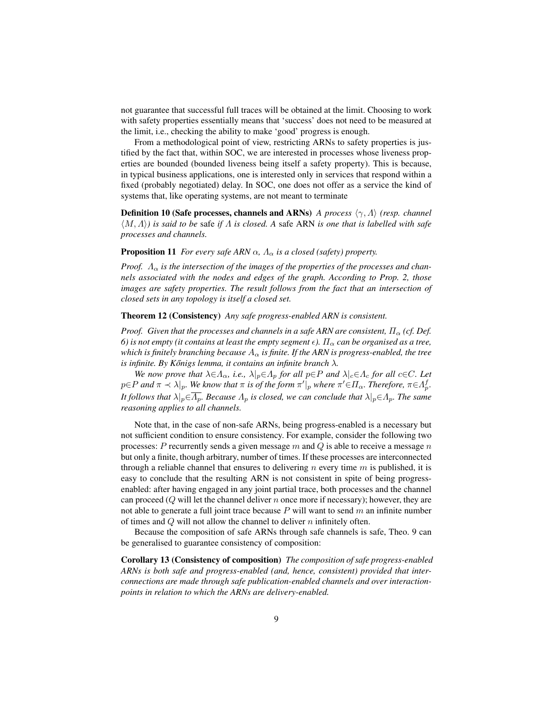not guarantee that successful full traces will be obtained at the limit. Choosing to work with safety properties essentially means that 'success' does not need to be measured at the limit, i.e., checking the ability to make 'good' progress is enough.

From a methodological point of view, restricting ARNs to safety properties is justified by the fact that, within SOC, we are interested in processes whose liveness properties are bounded (bounded liveness being itself a safety property). This is because, in typical business applications, one is interested only in services that respond within a fixed (probably negotiated) delay. In SOC, one does not offer as a service the kind of systems that, like operating systems, are not meant to terminate

**Definition 10 (Safe processes, channels and ARNs)** *A process*  $\langle \gamma, \Lambda \rangle$  *(resp. channel*  $\langle M, \Lambda \rangle$ *) is said to be* safe *if*  $\Lambda$  *is closed.* A safe ARN *is one that is labelled with safe processes and channels.*

### **Proposition 11** *For every safe ARN*  $\alpha$ *,*  $\Lambda_{\alpha}$  *is a closed (safety) property.*

*Proof.*  $\Lambda_{\alpha}$  *is the intersection of the images of the properties of the processes and channels associated with the nodes and edges of the graph. According to Prop. 2, those images are safety properties. The result follows from the fact that an intersection of closed sets in any topology is itself a closed set.*

### Theorem 12 (Consistency) *Any safe progress-enabled ARN is consistent.*

*Proof.* Given that the processes and channels in a safe ARN are consistent,  $\Pi_{\alpha}$  (cf. Def. *6) is not empty (it contains at least the empty segment*  $\epsilon$ ).  $\Pi_{\alpha}$  *can be organised as a tree, which is finitely branching because*  $A_{\alpha}$  *is finite. If the ARN is progress-enabled, the tree is infinite. By Kőnigs lemma, it contains an infinite branch*  $λ$ *.* 

*We now prove that*  $\lambda \in \Lambda_\alpha$ , *i.e.*,  $\lambda|_p \in \Lambda_p$  *for all*  $p \in P$  *and*  $\lambda|_c \in \Lambda_c$  *for all*  $c \in C$ *. Let*  $p \in P$  and  $\pi \prec \lambda|_p$ . We know that  $\pi$  is of the form  $\pi'|_p$  where  $\pi' \in \Pi_\alpha$ . Therefore,  $\pi \in \Lambda_p^f$ . *It follows that*  $\lambda|_p \in \overline{\Lambda_p}$ *. Because*  $\Lambda_p$  *is closed, we can conclude that*  $\lambda|_p \in \Lambda_p$ *. The same reasoning applies to all channels.*

Note that, in the case of non-safe ARNs, being progress-enabled is a necessary but not sufficient condition to ensure consistency. For example, consider the following two processes: P recurrently sends a given message  $m$  and  $Q$  is able to receive a message  $n$ but only a finite, though arbitrary, number of times. If these processes are interconnected through a reliable channel that ensures to delivering  $n$  every time  $m$  is published, it is easy to conclude that the resulting ARN is not consistent in spite of being progressenabled: after having engaged in any joint partial trace, both processes and the channel can proceed  $(Q$  will let the channel deliver n once more if necessary); however, they are not able to generate a full joint trace because  $P$  will want to send  $m$  an infinite number of times and  $Q$  will not allow the channel to deliver  $n$  infinitely often.

Because the composition of safe ARNs through safe channels is safe, Theo. 9 can be generalised to guarantee consistency of composition:

Corollary 13 (Consistency of composition) *The composition of safe progress-enabled ARNs is both safe and progress-enabled (and, hence, consistent) provided that interconnections are made through safe publication-enabled channels and over interactionpoints in relation to which the ARNs are delivery-enabled.*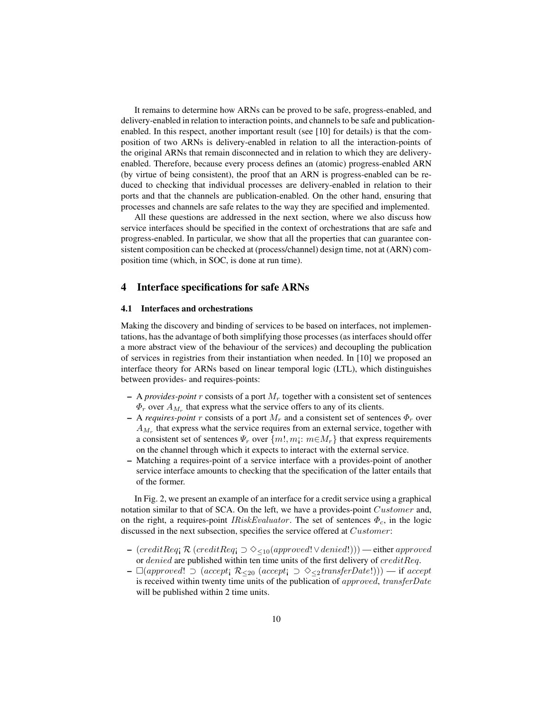It remains to determine how ARNs can be proved to be safe, progress-enabled, and delivery-enabled in relation to interaction points, and channels to be safe and publicationenabled. In this respect, another important result (see [10] for details) is that the composition of two ARNs is delivery-enabled in relation to all the interaction-points of the original ARNs that remain disconnected and in relation to which they are deliveryenabled. Therefore, because every process defines an (atomic) progress-enabled ARN (by virtue of being consistent), the proof that an ARN is progress-enabled can be reduced to checking that individual processes are delivery-enabled in relation to their ports and that the channels are publication-enabled. On the other hand, ensuring that processes and channels are safe relates to the way they are specified and implemented.

All these questions are addressed in the next section, where we also discuss how service interfaces should be specified in the context of orchestrations that are safe and progress-enabled. In particular, we show that all the properties that can guarantee consistent composition can be checked at (process/channel) design time, not at (ARN) composition time (which, in SOC, is done at run time).

# 4 Interface specifications for safe ARNs

### 4.1 Interfaces and orchestrations

Making the discovery and binding of services to be based on interfaces, not implementations, has the advantage of both simplifying those processes (as interfaces should offer a more abstract view of the behaviour of the services) and decoupling the publication of services in registries from their instantiation when needed. In [10] we proposed an interface theory for ARNs based on linear temporal logic (LTL), which distinguishes between provides- and requires-points:

- $-$  A *provides-point* r consists of a port  $M_r$  together with a consistent set of sentences  $\Phi_r$  over  $A_{M_r}$  that express what the service offers to any of its clients.
- A *requires-point* r consists of a port  $M_r$  and a consistent set of sentences  $\Phi_r$  over  $A_{M_r}$  that express what the service requires from an external service, together with a consistent set of sentences  $\Psi_r$  over  $\{m!, m; : m \in M_r\}$  that express requirements on the channel through which it expects to interact with the external service.
- Matching a requires-point of a service interface with a provides-point of another service interface amounts to checking that the specification of the latter entails that of the former.

In Fig. 2, we present an example of an interface for a credit service using a graphical notation similar to that of SCA. On the left, we have a provides-point *Customer* and, on the right, a requires-point  $IRiskEvaluator$ . The set of sentences  $\Phi_c$ , in the logic discussed in the next subsection, specifies the service offered at Customer:

- (creditReq; R (creditReq;  $\supset$   $\diamond$ <sub><10</sub>(approved! $\vee$  denied!))) either approved or *denied* are published within ten time units of the first delivery of *creditReq*.
- $\Box(approved! \supset (accept; R<sub><20</sub> (accept; \supset \Diamond <_2 transferDate)))$  if accept is received within twenty time units of the publication of approved, transferDate will be published within 2 time units.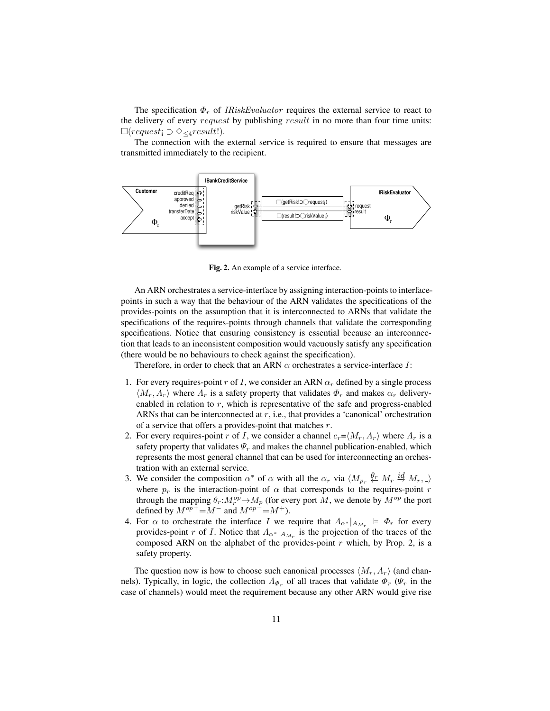The specification  $\Phi_r$  of *IRiskEvaluator* requires the external service to react to the delivery of every request by publishing result in no more than four time units:  $\Box(request \rightarrow \Diamond_{\leq 4} result).$ 

The connection with the external service is required to ensure that messages are transmitted immediately to the recipient.



Fig. 2. An example of a service interface.

An ARN orchestrates a service-interface by assigning interaction-points to interfacepoints in such a way that the behaviour of the ARN validates the specifications of the provides-points on the assumption that it is interconnected to ARNs that validate the specifications of the requires-points through channels that validate the corresponding specifications. Notice that ensuring consistency is essential because an interconnection that leads to an inconsistent composition would vacuously satisfy any specification (there would be no behaviours to check against the specification).

Therefore, in order to check that an ARN  $\alpha$  orchestrates a service-interface I:

- 1. For every requires-point r of I, we consider an ARN  $\alpha_r$  defined by a single process  $\langle M_r, \Lambda_r \rangle$  where  $\Lambda_r$  is a safety property that validates  $\Phi_r$  and makes  $\alpha_r$  deliveryenabled in relation to  $r$ , which is representative of the safe and progress-enabled ARNs that can be interconnected at  $r$ , i.e., that provides a 'canonical' orchestration of a service that offers a provides-point that matches  $r$ .
- 2. For every requires-point r of I, we consider a channel  $c_r = \langle M_r, \Lambda_r \rangle$  where  $\Lambda_r$  is a safety property that validates  $\Psi_r$  and makes the channel publication-enabled, which represents the most general channel that can be used for interconnecting an orchestration with an external service.
- 3. We consider the composition  $\alpha^*$  of  $\alpha$  with all the  $\alpha_r$  via  $\langle M_{p_r} \stackrel{\theta_r}{\leftarrow} M_r \stackrel{i d}{\rightarrow} M_r, \_$ where  $p_r$  is the interaction-point of  $\alpha$  that corresponds to the requires-point r through the mapping  $\theta_r$ : $M_r^{op} \rightarrow M_p$  (for every port M, we denote by  $M^{op}$  the port defined by  $M^{op+} = M^-$  and  $M^{op-} = M^+$ ).
- 4. For  $\alpha$  to orchestrate the interface I we require that  $\Lambda_{\alpha^*}|_{A_{M_r}} \models \Phi_r$  for every provides-point r of I. Notice that  $\Lambda_{\alpha^*}|_{A_{M_r}}$  is the projection of the traces of the composed ARN on the alphabet of the provides-point  $r$  which, by Prop. 2, is a safety property.

The question now is how to choose such canonical processes  $\langle M_r, \Lambda_r \rangle$  (and channels). Typically, in logic, the collection  $\Lambda_{\Phi_r}$  of all traces that validate  $\Phi_r$  ( $\Psi_r$  in the case of channels) would meet the requirement because any other ARN would give rise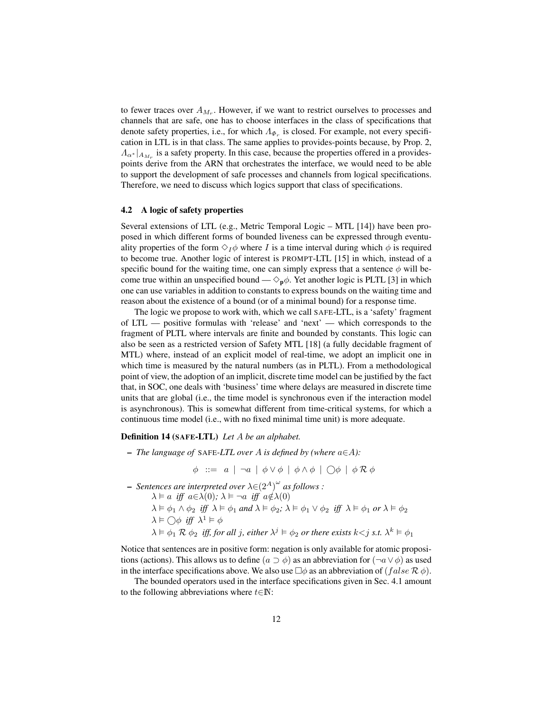to fewer traces over  $A_{M_r}$ . However, if we want to restrict ourselves to processes and channels that are safe, one has to choose interfaces in the class of specifications that denote safety properties, i.e., for which  $\Lambda_{\Phi_r}$  is closed. For example, not every specification in LTL is in that class. The same applies to provides-points because, by Prop. 2,  $\Lambda_{\alpha^*}|_{A_{M_r}}$  is a safety property. In this case, because the properties offered in a providespoints derive from the ARN that orchestrates the interface, we would need to be able to support the development of safe processes and channels from logical specifications. Therefore, we need to discuss which logics support that class of specifications.

#### 4.2 A logic of safety properties

Several extensions of LTL (e.g., Metric Temporal Logic – MTL [14]) have been proposed in which different forms of bounded liveness can be expressed through eventuality properties of the form  $\Diamond_I \phi$  where I is a time interval during which  $\phi$  is required to become true. Another logic of interest is PROMPT-LTL [15] in which, instead of a specific bound for the waiting time, one can simply express that a sentence  $\phi$  will become true within an unspecified bound  $-\Diamond_{\mathbf{p}}\phi$ . Yet another logic is PLTL [3] in which one can use variables in addition to constants to express bounds on the waiting time and reason about the existence of a bound (or of a minimal bound) for a response time.

The logic we propose to work with, which we call SAFE-LTL, is a 'safety' fragment of LTL — positive formulas with 'release' and 'next' — which corresponds to the fragment of PLTL where intervals are finite and bounded by constants. This logic can also be seen as a restricted version of Safety MTL [18] (a fully decidable fragment of MTL) where, instead of an explicit model of real-time, we adopt an implicit one in which time is measured by the natural numbers (as in PLTL). From a methodological point of view, the adoption of an implicit, discrete time model can be justified by the fact that, in SOC, one deals with 'business' time where delays are measured in discrete time units that are global (i.e., the time model is synchronous even if the interaction model is asynchronous). This is somewhat different from time-critical systems, for which a continuous time model (i.e., with no fixed minimal time unit) is more adequate.

#### Definition 14 (SAFE-LTL) *Let* A *be an alphabet.*

– *The language of* SAFE*-LTL over* A *is defined by (where* a∈A*):*

 $\phi$  ::= a | ¬a |  $\phi \vee \phi$  |  $\phi \wedge \phi$  |  $\bigcirc \phi$  |  $\phi \mathcal{R} \phi$ 

 $-$  *Sentences are interpreted over*  $\lambda \in (2^A)^\omega$  *as follows :* 

 $\lambda \models a$  *iff*  $a \in \lambda(0)$ ;  $\lambda \models \neg a$  *iff*  $a \notin \lambda(0)$ 

 $\lambda \vDash \phi_1 \land \phi_2$  *iff*  $\lambda \vDash \phi_1$  *and*  $\lambda \vDash \phi_2$ *;*  $\lambda \vDash \phi_1 \lor \phi_2$  *iff*  $\lambda \vDash \phi_1$  *or*  $\lambda \vDash \phi_2$  $\lambda \models \bigcirc \phi \text{ iff } \lambda^1 \models \phi$ 

$$
\lambda \models \phi_1 \mathcal{R} \phi_2
$$
 iff, for all j, either  $\lambda^j \models \phi_2$  or there exists  $k < j$  s.t.  $\lambda^k \models \phi_1$ 

Notice that sentences are in positive form: negation is only available for atomic propositions (actions). This allows us to define  $(a \supset \phi)$  as an abbreviation for  $(\neg a \lor \phi)$  as used in the interface specifications above. We also use  $\Box \phi$  as an abbreviation of  $(false \mathcal{R} \phi)$ .

The bounded operators used in the interface specifications given in Sec. 4.1 amount to the following abbreviations where  $t \in \mathbb{N}$ :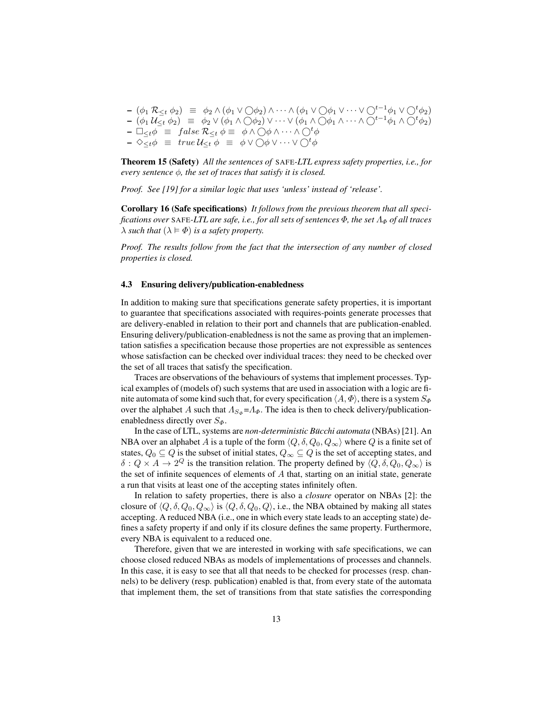- $(\phi_1 \mathcal{R}_{\leq t} \phi_2) \equiv \phi_2 \wedge (\phi_1 \vee \bigcirc \phi_2) \wedge \cdots \wedge (\phi_1 \vee \bigcirc \phi_1 \vee \cdots \vee \bigcirc^{t-1} \phi_1 \vee \bigcirc^{t} \phi_2)$
- $(\phi_1 U \vert_{\leq t} \phi_2) \equiv \phi_2 \vee (\phi_1 \wedge \bigcirc \phi_2) \vee \cdots \vee (\phi_1 \wedge \bigcirc \phi_1 \wedge \cdots \wedge \bigcirc^{t-1} \phi_1 \wedge \bigcirc^t \phi_2)$
- $\overline{\Box}_{\leq t} \overline{\phi} \equiv \overline{false} \mathcal{R}_{\leq t} \overline{\phi} \equiv \overline{\phi} \wedge \overline{\bigcirc} \phi \wedge \cdots \wedge \overline{\bigcirc}^t \phi$
- $-\hat{\otimes}_{\leq t}\phi \equiv true \, \mathcal{U}_{\leq t}\phi \equiv \phi \vee \bigcirc \phi \vee \cdots \vee \bigcirc^t\phi$

Theorem 15 (Safety) *All the sentences of* SAFE*-LTL express safety properties, i.e., for every sentence* φ*, the set of traces that satisfy it is closed.*

*Proof. See [19] for a similar logic that uses 'unless' instead of 'release'.*

Corollary 16 (Safe specifications) *It follows from the previous theorem that all specifications over* SAFE-LTL are safe, i.e., for all sets of sentences  $\Phi$ , the set  $\Lambda_{\Phi}$  of all traces  $\lambda$  *such that*  $(\lambda \models \Phi)$  *is a safety property.* 

*Proof. The results follow from the fact that the intersection of any number of closed properties is closed.*

### 4.3 Ensuring delivery/publication-enabledness

In addition to making sure that specifications generate safety properties, it is important to guarantee that specifications associated with requires-points generate processes that are delivery-enabled in relation to their port and channels that are publication-enabled. Ensuring delivery/publication-enabledness is not the same as proving that an implementation satisfies a specification because those properties are not expressible as sentences whose satisfaction can be checked over individual traces: they need to be checked over the set of all traces that satisfy the specification.

Traces are observations of the behaviours of systems that implement processes. Typical examples of (models of) such systems that are used in association with a logic are finite automata of some kind such that, for every specification  $\langle A, \Phi \rangle$ , there is a system  $S_{\Phi}$ over the alphabet A such that  $\Lambda_{S_{\Phi}} = \Lambda_{\Phi}$ . The idea is then to check delivery/publicationenabledness directly over  $S_{\Phi}$ .

In the case of LTL, systems are *non-deterministic Bücchi automata* (NBAs) [21]. An NBA over an alphabet A is a tuple of the form  $\langle Q, \delta, Q_0, Q_\infty \rangle$  where Q is a finite set of states,  $Q_0 \subseteq Q$  is the subset of initial states,  $Q_\infty \subseteq Q$  is the set of accepting states, and  $\delta: Q \times A \to 2^Q$  is the transition relation. The property defined by  $\langle Q, \delta, Q_0, Q_\infty \rangle$  is the set of infinite sequences of elements of  $A$  that, starting on an initial state, generate a run that visits at least one of the accepting states infinitely often.

In relation to safety properties, there is also a *closure* operator on NBAs [2]: the closure of  $\langle Q, \delta, Q_0, Q_\infty \rangle$  is  $\langle Q, \delta, Q_0, Q \rangle$ , i.e., the NBA obtained by making all states accepting. A reduced NBA (i.e., one in which every state leads to an accepting state) defines a safety property if and only if its closure defines the same property. Furthermore, every NBA is equivalent to a reduced one.

Therefore, given that we are interested in working with safe specifications, we can choose closed reduced NBAs as models of implementations of processes and channels. In this case, it is easy to see that all that needs to be checked for processes (resp. channels) to be delivery (resp. publication) enabled is that, from every state of the automata that implement them, the set of transitions from that state satisfies the corresponding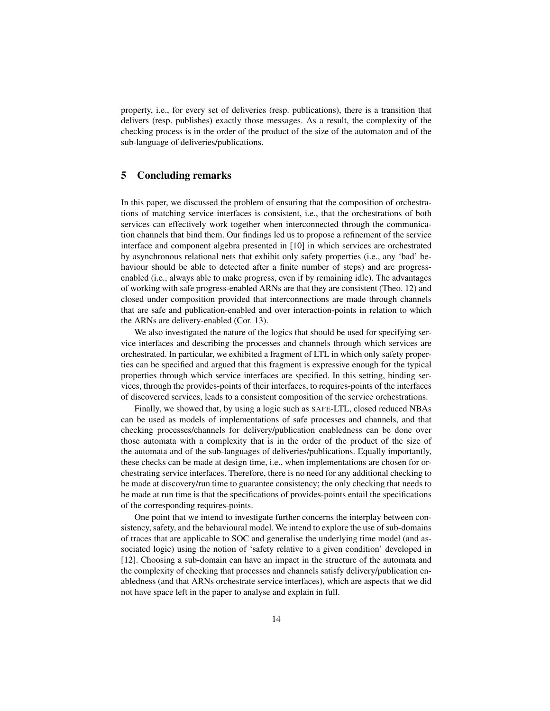property, i.e., for every set of deliveries (resp. publications), there is a transition that delivers (resp. publishes) exactly those messages. As a result, the complexity of the checking process is in the order of the product of the size of the automaton and of the sub-language of deliveries/publications.

# 5 Concluding remarks

In this paper, we discussed the problem of ensuring that the composition of orchestrations of matching service interfaces is consistent, i.e., that the orchestrations of both services can effectively work together when interconnected through the communication channels that bind them. Our findings led us to propose a refinement of the service interface and component algebra presented in [10] in which services are orchestrated by asynchronous relational nets that exhibit only safety properties (i.e., any 'bad' behaviour should be able to detected after a finite number of steps) and are progressenabled (i.e., always able to make progress, even if by remaining idle). The advantages of working with safe progress-enabled ARNs are that they are consistent (Theo. 12) and closed under composition provided that interconnections are made through channels that are safe and publication-enabled and over interaction-points in relation to which the ARNs are delivery-enabled (Cor. 13).

We also investigated the nature of the logics that should be used for specifying service interfaces and describing the processes and channels through which services are orchestrated. In particular, we exhibited a fragment of LTL in which only safety properties can be specified and argued that this fragment is expressive enough for the typical properties through which service interfaces are specified. In this setting, binding services, through the provides-points of their interfaces, to requires-points of the interfaces of discovered services, leads to a consistent composition of the service orchestrations.

Finally, we showed that, by using a logic such as SAFE-LTL, closed reduced NBAs can be used as models of implementations of safe processes and channels, and that checking processes/channels for delivery/publication enabledness can be done over those automata with a complexity that is in the order of the product of the size of the automata and of the sub-languages of deliveries/publications. Equally importantly, these checks can be made at design time, i.e., when implementations are chosen for orchestrating service interfaces. Therefore, there is no need for any additional checking to be made at discovery/run time to guarantee consistency; the only checking that needs to be made at run time is that the specifications of provides-points entail the specifications of the corresponding requires-points.

One point that we intend to investigate further concerns the interplay between consistency, safety, and the behavioural model. We intend to explore the use of sub-domains of traces that are applicable to SOC and generalise the underlying time model (and associated logic) using the notion of 'safety relative to a given condition' developed in [12]. Choosing a sub-domain can have an impact in the structure of the automata and the complexity of checking that processes and channels satisfy delivery/publication enabledness (and that ARNs orchestrate service interfaces), which are aspects that we did not have space left in the paper to analyse and explain in full.